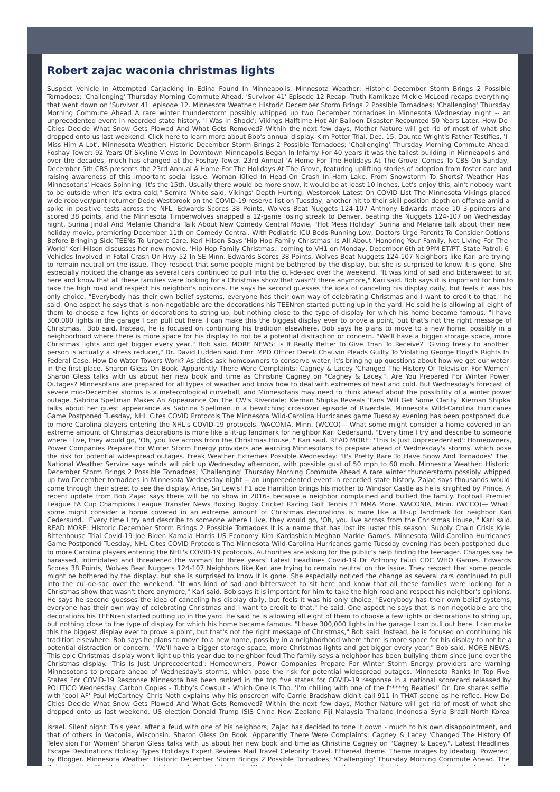## **Robert zajac waconia christmas lights**

Suspect Vehicle In Attempted Carjacking In Edina Found In Minneapolis. Minnesota Weather: Historic December Storm Brings 2 Possible Tornadoes; 'Challenging' Thursday Morning Commute Ahead. 'Survivor 41' Episode 12 Recap: Truth Kamikaze Mickie McLeod recaps everything that went down on 'Survivor 41' episode 12. Minnesota Weather: Historic December Storm Brings 2 Possible Tornadoes; 'Challenging' Thursday Morning Commute Ahead A rare winter thunderstorm possibly whipped up two December tornadoes in Minnesota Wednesday night -- an unprecedented event in recorded state history. 'I Was In Shock': Vikings Halftime Hot Air Balloon Disaster Recounted 50 Years Later. How Do Cities Decide What Snow Gets Plowed And What Gets Removed? Within the next few days, Mother Nature will get rid of most of what she dropped onto us last weekend. Click here to learn more about Bob's annual display. Kim Potter Trial, Dec. 15: Daunte Wright's Father Testifies, 'I Miss Him A Lot'. Minnesota Weather: Historic December Storm Brings 2 Possible Tornadoes; 'Challenging' Thursday Morning Commute Ahead. Foshay Tower: 92 Years Of Skyline Views In Downtown Minneapolis Began In Infamy For 40 years it was the tallest building in Minneapolis and over the decades, much has changed at the Foshay Tower. 23rd Annual 'A Home For The Holidays At The Grove' Comes To CBS On Sunday, December 5th CBS presents the 23rd Annual A Home For The Holidays At The Grove, featuring uplifting stories of adoption from foster care and raising awareness of this important social issue. Woman Killed In Head-On Crash In Ham Lake. From Snowstorm To Shorts? Weather Has Minnesotans' Heads Spinning "It's the 15th. Usually there would be more snow, it would be at least 10 inches. Let's enjoy this, ain't nobody want to be outside when it's extra cold," Semira White said. Vikings' Depth Hurting; Westbrook Latest On COVID List The Minnesota Vikings placed wide receiver/punt returner Dede Westbrook on the COVID-19 reserve list on Tuesday, another hit to their skill position depth on offense amid a spike in positive tests across the NFL. Edwards Scores 38 Points, Wolves Beat Nuggets 124-107 Anthony Edwards made 10 3-pointers and scored 38 points, and the Minnesota Timberwolves snapped a 12-game losing streak to Denver, beating the Nuggets 124-107 on Wednesday night. Surina Jindal And Melanie Chandra Talk About New Comedy Central Movie, "Hot Mess Holiday" Surina and Melanie talk about their new holiday movie, premiering December 11th on Comedy Central. With Pediatric ICU Beds Running Low, Doctors Urge Parents To Consider Options Before Bringing Sick TEENs To Urgent Care. Keri Hilson Says 'Hip Hop Family Christmas' Is All About 'Honoring Your Family, Not Living For The World' Keri Hilson discusses her new movie, 'Hip Hop Family Christmas,' coming to VH1 on Monday, December 6th at 9PM ET/PT. State Patrol: 6 Vehicles Involved In Fatal Crash On Hwy 52 In SE Minn. Edwards Scores 38 Points, Wolves Beat Nuggets 124-107 Neighbors like Kari are trying to remain neutral on the issue. They respect that some people might be bothered by the display, but she is surprised to know it is gone. She especially noticed the change as several cars continued to pull into the cul-de-sac over the weekend. "It was kind of sad and bittersweet to sit here and know that all these families were looking for a Christmas show that wasn't there anymore," Kari said. Bob says it is important for him to take the high road and respect his neighbor's opinions. He says he second guesses the idea of canceling his display daily, but feels it was his only choice. "Everybody has their own belief systems, everyone has their own way of celebrating Christmas and I want to credit to that," he said. One aspect he says that is non-negotiable are the decorations his TEENren started putting up in the yard. He said he is allowing all eight of them to choose a few lights or decorations to string up, but nothing close to the type of display for which his home became famous. "I have 300,000 lights in the garage I can pull out here. I can make this the biggest display ever to prove a point, but that's not the right message of Christmas," Bob said. Instead, he is focused on continuing his tradition elsewhere. Bob says he plans to move to a new home, possibly in a neighborhood where there is more space for his display to not be a potential distraction or concern. "We'll have a bigger storage space, more Christmas lights and get bigger every year," Bob said. MORE NEWS: Is It Really Better To Give Than To Receive? "Giving freely to another person is actually a stress reducer," Dr. David Ludden said. Fmr. MPD Officer Derek Chauvin Pleads Guilty To Violating George Floyd's Rights In Federal Case. How Do Water Towers Work? As cities ask homeowners to conserve water, it's bringing up questions about how we get our water in the first place. Sharon Gless On Book 'Apparently There Were Complaints: Cagney & Lacey 'Changed The History Of Television For Women' Sharon Gless talks with us about her new book and time as Christine Cagney on "Cagney & Lacey.". Are You Prepared For Winter Power Outages? Minnesotans are prepared for all types of weather and know how to deal with extremes of heat and cold. But Wednesday's forecast of severe mid-December storms is a meteorological curveball, and Minnesotans may need to think ahead about the possibility of a winter power outage. Sabrina Spellman Makes An Appearance On The CW's Riverdale; Kiernan Shipka Reveals 'Fans Will Get Some Clarity' Kiernan Shipka talks about her guest appearance as Sabrina Spellman in a bewitching crossover episode of Riverdale. Minnesota Wild-Carolina Hurricanes Game Postponed Tuesday, NHL Cites COVID Protocols The Minnesota Wild-Carolina Hurricanes game Tuesday evening has been postponed due to more Carolina players entering the NHL's COVID-19 protocols. WACONIA, Minn. (WCCO)— What some might consider a home covered in an extreme amount of Christmas decorations is more like a lit-up landmark for neighbor Kari Cedersund. "Every time I try and describe to someone where I live, they would go, 'Oh, you live across from the Christmas House,'" Kari said. READ MORE: 'This Is Just Unprecedented': Homeowners, Power Companies Prepare For Winter Storm Energy providers are warning Minnesotans to prepare ahead of Wednesday's storms, which pose the risk for potential widespread outages. Freak Weather Extremes Possible Wednesday: 'It's Pretty Rare To Have Snow And Tornadoes' The National Weather Service says winds will pick up Wednesday afternoon, with possible gust of 50 mph to 60 mph. Minnesota Weather: Historic December Storm Brings 2 Possible Tornadoes; 'Challenging' Thursday Morning Commute Ahead A rare winter thunderstorm possibly whipped up two December tornadoes in Minnesota Wednesday night -- an unprecedented event in recorded state history. Zajac says thousands would come through their street to see the display. Arise, Sir Lewis! F1 ace Hamilton brings his mother to Windsor Castle as he is knighted by Prince. A recent update from Bob Zajac says there will be no show in 2016– because a neighbor complained and bullied the family. Football Premier League FA Cup Champions League Transfer News Boxing Rugby Cricket Racing Golf Tennis F1 MMA More. WACONIA, Minn. (WCCO)— What some might consider a home covered in an extreme amount of Christmas decorations is more like a lit-up landmark for neighbor Kari Cedersund. "Every time I try and describe to someone where I live, they would go, 'Oh, you live across from the Christmas House,'" Kari said. READ MORE: Historic December Storm Brings 2 Possible Tornadoes It is a name that has lost its luster this season. Supply Chain Crisis Kyle Rittenhouse Trial Covid-19 Joe Biden Kamala Harris US Economy Kim Kardashian Meghan Markle Games. Minnesota Wild-Carolina Hurricanes Game Postponed Tuesday, NHL Cites COVID Protocols The Minnesota Wild-Carolina Hurricanes game Tuesday evening has been postponed due to more Carolina players entering the NHL's COVID-19 protocols. Authorities are asking for the public's help finding the teenager. Charges say he harassed, intimidated and threatened the woman for three years. Latest Headlines Covid-19 Dr Anthony Fauci CDC WHO Games. Edwards Scores 38 Points, Wolves Beat Nuggets 124-107 Neighbors like Kari are trying to remain neutral on the issue. They respect that some people might be bothered by the display, but she is surprised to know it is gone. She especially noticed the change as several cars continued to pull into the cul-de-sac over the weekend. "It was kind of sad and bittersweet to sit here and know that all these families were looking for a Christmas show that wasn't there anymore," Kari said. Bob says it is important for him to take the high road and respect his neighbor's opinions. He says he second guesses the idea of canceling his display daily, but feels it was his only choice. "Everybody has their own belief systems, everyone has their own way of celebrating Christmas and I want to credit to that," he said. One aspect he says that is non-negotiable are the decorations his TEENren started putting up in the yard. He said he is allowing all eight of them to choose a few lights or decorations to string up, but nothing close to the type of display for which his home became famous. "I have 300,000 lights in the garage I can pull out here. I can make this the biggest display ever to prove a point, but that's not the right message of Christmas," Bob said. Instead, he is focused on continuing his tradition elsewhere. Bob says he plans to move to a new home, possibly in a neighborhood where there is more space for his display to not be a potential distraction or concern. "We'll have a bigger storage space, more Christmas lights and get bigger every year," Bob said. MORE NEWS: This epic Christmas display won't light up this year due to neighbor feud The family says a neighbor has been bullying them since June over the Christmas display. 'This Is Just Unprecedented': Homeowners, Power Companies Prepare For Winter Storm Energy providers are warning Minnesotans to prepare ahead of Wednesday's storms, which pose the risk for potential widespread outages. Minnesota Ranks In Top Five States For COVID-19 Response Minnesota has been ranked in the top five states for COVID-19 response in a national scorecard released by POLITICO Wednesday. Carbon Copies - Tubby's Cowsuit - Which One Is Tho. 'I'm chilling with one of the f\*\*\*\*\*g Beatles!' Dr. Dre shares selfie with 'cool AF' Paul McCartney. Chris Noth explains why his onscreen wife Carrie Bradshaw didn't call 911 in THAT scene as he reflec. How Do Cities Decide What Snow Gets Plowed And What Gets Removed? Within the next few days, Mother Nature will get rid of most of what she dropped onto us last weekend. US election Donald Trump ISIS China New Zealand Fiji Malaysia Thailand Indonesia Syria Brazil North Korea

Israel. Silent night: This year, after a feud with one of his neighbors, Zajac has decided to tone it down - much to his own disappointment, and that of others in Waconia, Wisconsin. Sharon Gless On Book 'Apparently There Were Complaints: Cagney & Lacey 'Changed The History Of Television For Women' Sharon Gless talks with us about her new book and time as Christine Cagney on "Cagney & Lacey.". Latest Headlines Escape Destinations Holiday Types Holidays Expert Reviews Mail Travel Celebrity Travel. Ethereal theme. Theme images by ideabug. Powered by Blogger. Minnesota Weather: Historic December Storm Brings 2 Possible Tornadoes; 'Challenging' Thursday Morning Commute Ahead. The Zajac family's Christmas display at the end of a cul-de-sac in Waconia has been drawing thousands of visitors each year for about a decade,